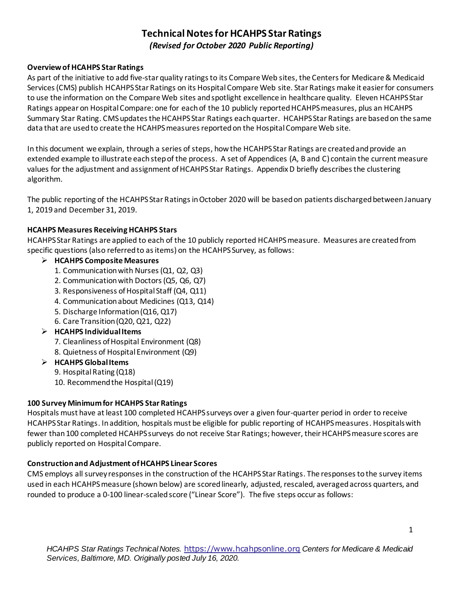# **Technical Notes for HCAHPS Star Ratings** *(Revised for October 2020 Public Reporting)*

# **Overviewof HCAHPS Star Ratings**

As part of the initiative to add five-star quality ratings to its Compare Web sites, the Centers for Medicare & Medicaid Services (CMS) publish HCAHPS Star Ratings on its Hospital Compare Web site. Star Ratings make it easier for consumers to use the information on the Compare Web sites and spotlight excellence in healthcare quality. Eleven HCAHPS Star Ratings appear on Hospital Compare: one for each of the 10 publicly reported HCAHPS measures, plus an HCAHPS Summary Star Rating. CMS updatesthe HCAHPS Star Ratings each quarter. HCAHPS Star Ratings are based on the same data that are used to create the HCAHPS measures reported on the Hospital Compare Web site.

In this document we explain, through a series of steps, how the HCAHPS Star Ratings are created and provide an extended example to illustrate each step of the process. A set of Appendices (A, B and C) contain the current measure values for the adjustment and assignment of HCAHPS Star Ratings. Appendix D briefly describesthe clustering algorithm.

The public reporting of the HCAHPS Star Ratings in October 2020 will be based on patients discharged between January 1, 2019 and December 31, 2019.

# **HCAHPS Measures Receiving HCAHPS Stars**

HCAHPS Star Ratings are applied to each of the 10 publicly reported HCAHPS measure. Measures are created from specific questions (also referred to as items) on the HCAHPS Survey, as follows:

# ➢ **HCAHPS Composite Measures**

- 1. Communication with Nurses (Q1, Q2, Q3)
- 2. Communication with Doctors (Q5, Q6, Q7)
- 3. Responsiveness of Hospital Staff (Q4, Q11)
- 4. Communication about Medicines (Q13, Q14)
- 5. Discharge Information (Q16, Q17)
- 6. Care Transition (Q20, Q21, Q22)
- ➢ **HCAHPS Individual Items** 
	- 7. Cleanliness of Hospital Environment (Q8)
	- 8. Quietness of Hospital Environment (Q9)
- ➢ **HCAHPS Global Items** 
	- 9. Hospital Rating (Q18)
	- 10. Recommend the Hospital (Q19)

#### **100 Survey Minimum for HCAHPS Star Ratings**

Hospitals must have at least 100 completed HCAHPS surveys over a given four-quarter period in order to receive HCAHPS Star Ratings. In addition, hospitals must be eligible for public reporting of HCAHPS measures. Hospitals with fewer than 100 completed HCAHPS surveys do not receive Star Ratings; however, their HCAHPS measure scores are publicly reported on Hospital Compare.

# **Construction and Adjustment of HCAHPS Linear Scores**

CMS employs all survey responses in the construction of the HCAHPS Star Ratings. The responses to the survey items used in each HCAHPS measure (shown below) are scored linearly, adjusted, rescaled, averaged across quarters, and rounded to produce a 0-100 linear-scaled score ("Linear Score"). The five steps occur as follows: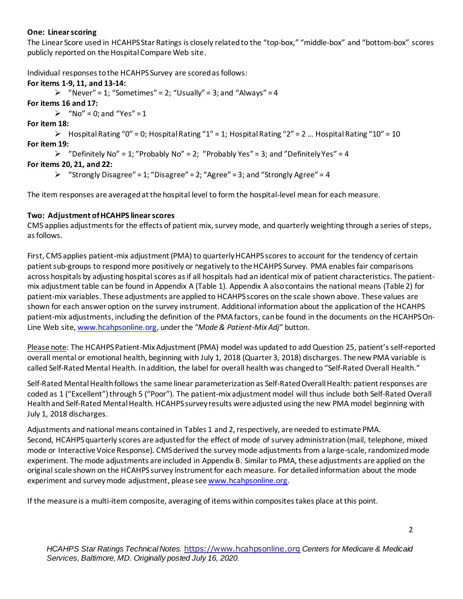# **One: Linear scoring**

The Linear Score used in HCAHPS Star Ratings is closely related to the "top-box," "middle-box" and "bottom-box" scores publicly reported on the Hospital Compare Web site.

Individual responses to the HCAHPS Survey are scored as follows:

# **For items 1-9, 11, and 13-14:**

 $\triangleright$  "Never" = 1; "Sometimes" = 2; "Usually" = 3; and "Always" = 4

**For items 16 and 17:**

 $\triangleright$  "No" = 0; and "Yes" = 1

**For item 18:**

 $\triangleright$  Hospital Rating "0" = 0; Hospital Rating "1" = 1; Hospital Rating "2" = 2 ... Hospital Rating "10" = 10 **For item 19:**

 $\triangleright$  "Definitely No" = 1; "Probably No" = 2; "Probably Yes" = 3; and "Definitely Yes" = 4

# **For items 20, 21, and 22:**

 $\triangleright$  "Strongly Disagree" = 1; "Disagree" = 2; "Agree" = 3; and "Strongly Agree" = 4

The item responses are averaged at the hospital level to form the hospital-level mean for each measure.

# **Two: Adjustment of HCAHPS linear scores**

CMS applies adjustmentsfor the effects of patient mix, survey mode, and quarterly weighting through a series of steps, as follows.

First, CMS applies patient-mix adjustment (PMA) to quarterly HCAHPS scores to account for the tendency of certain patient sub-groups to respond more positively or negatively to the HCAHPS Survey. PMA enablesfair comparisons across hospitals by adjusting hospital scores as if all hospitals had an identical mix of patient characteristics. The patientmix adjustment table can be found in Appendix A (Table 1). Appendix A also contains the national means (Table 2) for patient-mix variables. These adjustments are applied to HCAHPS scores on the scale shown above. These values are shown for each answer option on the survey instrument. Additional information about the application of the HCAHPS patient-mix adjustments, including the definition of the PMA factors, can be found in the documents on the HCAHPS On-Line Web site[, www.hcahpsonline.org](https://www.hcahpsonline.org/), under the *"Mode & Patient-Mix Adj"* button.

Please note: The HCAHPS Patient-Mix Adjustment (PMA) model was updated to add Question 25, patient's self-reported overall mental or emotional health, beginning with July 1, 2018 (Quarter 3, 2018) discharges. The new PMA variable is called Self-Rated Mental Health. In addition, the label for overall health was changed to "Self-Rated Overall Health."

Self-Rated Mental Health follows the same linear parameterization as Self-Rated Overall Health: patient responses are coded as 1 ("Excellent") through 5 ("Poor"). The patient-mix adjustment model will thus include both Self-Rated Overall Health and Self-Rated Mental Health. HCAHPS survey results were adjusted using the new PMA model beginning with July 1, 2018 discharges.

Adjustments and national means contained in Tables 1 and 2, respectively, are needed to estimate PMA. Second, HCAHPS quarterly scores are adjusted for the effect of mode of survey administration (mail, telephone, mixed mode or Interactive Voice Response). CMS derived the survey mode adjustments from a large-scale, randomized mode experiment. The mode adjustments are included in Appendix B. Similar to PMA, these adjustments are applied on the original scale shown on the HCAHPS survey instrument for each measure. For detailed information about the mode experiment and survey mode adjustment, please se[e www.hcahpsonline.org.](https://www.hcahpsonline.org/)

If the measure is a multi-item composite, averaging of items within composites takes place at this point.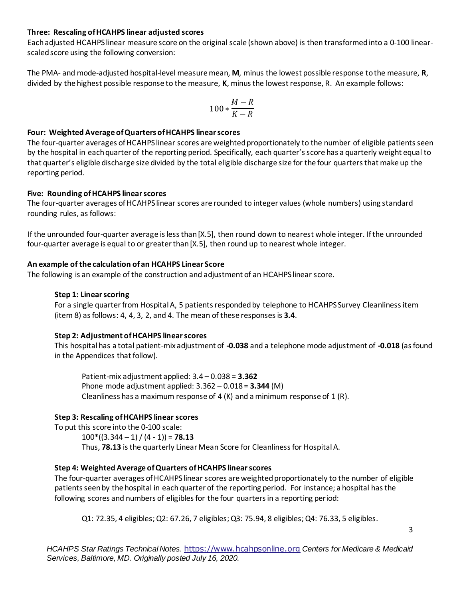#### **Three: Rescaling of HCAHPS linear adjusted scores**

Each adjusted HCAHPS linear measure score on the original scale (shown above) is then transformed into a 0-100 linearscaled score using the following conversion:

The PMA- and mode-adjusted hospital-level measure mean, **M**, minus the lowest possible response to the measure, **R**, divided by the highest possible response to the measure, **K**, minus the lowest response, R. An example follows:

$$
100*\frac{M-R}{K-R}
$$

# **Four: Weighted Average of Quartersof HCAHPS linear scores**

The four-quarter averages of HCAHPS linear scores are weighted proportionately to the number of eligible patients seen by the hospital in each quarter of the reporting period. Specifically, each quarter's score has a quarterly weight equal to that quarter's eligible discharge size divided by the total eligible discharge size for the four quarters that make up the reporting period.

# **Five: Rounding of HCAHPS linear scores**

The four-quarter averages of HCAHPS linear scores are rounded to integer values (whole numbers) using standard rounding rules, as follows:

If the unrounded four-quarter average is less than [X.5], then round down to nearest whole integer. If the unrounded four-quarter average is equal to or greater than [X.5], then round up to nearest whole integer.

# **An example of the calculation of an HCAHPS Linear Score**

The following is an example of the construction and adjustment of an HCAHPS linear score.

# **Step 1: Linear scoring**

For a single quarter from Hospital A, 5 patients responded by telephone to HCAHPS Survey Cleanliness item (item 8) as follows: 4, 4, 3, 2, and 4. The mean of these responses is **3.4**.

#### **Step 2: Adjustment of HCAHPS linear scores**

This hospital has a total patient-mix adjustment of **-0.038** and a telephone mode adjustment of **-0.018** (asfound in the Appendices that follow).

Patient-mix adjustment applied: 3.4 – 0.038 = **3.362** Phone mode adjustment applied: 3.362 – 0.018 = **3.344** (M) Cleanliness has a maximum response of 4  $(K)$  and a minimum response of 1  $(R)$ .

# **Step 3: Rescaling of HCAHPS linear scores**

To put this score into the 0-100 scale:  $100*(3.344 - 1) / (4 - 1)$  = **78.13** Thus, **78.13** is the quarterly Linear Mean Score for Cleanliness for Hospital A.

# **Step 4: Weighted Average of Quarters of HCAHPS linear scores**

The four-quarter averages of HCAHPS linear scores are weighted proportionately to the number of eligible patients seen by the hospital in each quarter of the reporting period. For instance; a hospital has the following scores and numbers of eligibles for the four quarters in a reporting period:

Q1: 72.35, 4 eligibles; Q2: 67.26, 7 eligibles; Q3: 75.94, 8 eligibles; Q4: 76.33, 5 eligibles.

*HCAHPS Star Ratings Technical Notes.* [https://www.hcahpsonline.org](https://www.hcahpsonline.org/) *Centers for Medicare & Medicaid Services, Baltimore, MD. Originally posted July 16, 2020.*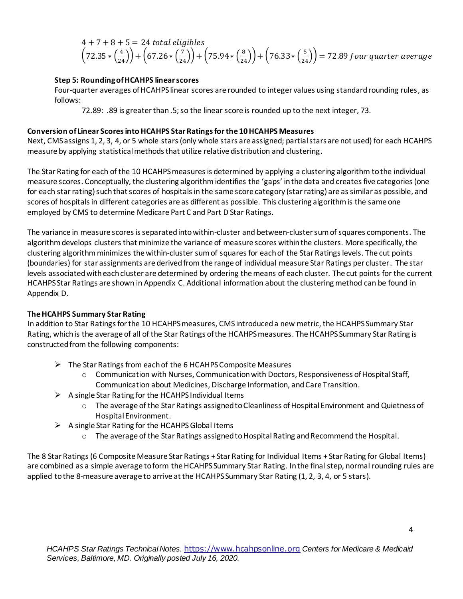$$
4 + 7 + 8 + 5 = 24
$$
 total eligibles  
\n $(72.35 * (\frac{4}{24})) + (67.26 * (\frac{7}{24})) + (75.94 * (\frac{8}{24})) + (76.33 * (\frac{5}{24})) = 72.89$  four quarter average

# **Step 5: Rounding of HCAHPS linear scores**

Four-quarter averages ofHCAHPS linear scores are rounded to integer values using standard rounding rules, as follows:

72.89: .89 is greater than .5; so the linear score is rounded up to the next integer, 73.

#### **Conversion of Linear Scores into HCAHPS Star Ratings for the 10HCAHPS Measures**

Next, CMS assigns 1, 2, 3, 4, or 5 whole stars (only whole stars are assigned; partial stars are not used) for each HCAHPS measure by applying statistical methods that utilize relative distribution and clustering.

The Star Rating for each of the 10 HCAHPS measures is determined by applying a clustering algorithm tothe individual measure scores. Conceptually, the clustering algorithm identifies the 'gaps' in the data and createsfive categories (one for each star rating) such that scores of hospitals in the same score category (star rating) are as similar as possible, and scores of hospitals in different categories are as different as possible. This clustering algorithm is the same one employed by CMS to determine Medicare Part C and Part D Star Ratings.

The variance in measure scores is separated into within-cluster and between-cluster sum of squares components. The algorithm develops clusters that minimize the variance of measure scores within the clusters. More specifically, the clustering algorithmminimizes the within-cluster sum of squares for each of the Star Ratings levels. The cut points (boundaries) for star assignments are derived from the range of individual measure Star Ratings per cluster. The star levels associated with each cluster are determined by ordering the means of each cluster. The cut points for the current HCAHPS Star Ratings are shown in Appendix C. Additional information about the clustering method can be found in Appendix D.

#### **The HCAHPS Summary Star Rating**

In addition to Star Ratings for the 10 HCAHPS measures, CMS introduced a new metric, the HCAHPS Summary Star Rating, which is the average of all of the Star Ratings of the HCAHPS measures. The HCAHPS Summary Star Rating is constructed from the following components:

- $\triangleright$  The Star Ratings from each of the 6 HCAHPS Composite Measures
	- o Communication with Nurses, Communication with Doctors, Responsiveness of Hospital Staff, Communication about Medicines, Discharge Information, and Care Transition.
- $\triangleright$  A single Star Rating for the HCAHPS Individual Items
	- o The average of the Star Ratings assigned to Cleanliness of Hospital Environment and Quietness of Hospital Environment.
- $\triangleright$  A single Star Rating for the HCAHPS Global Items
	- o The average of the Star Ratings assigned to Hospital Rating and Recommend the Hospital.

The 8 Star Ratings (6 Composite Measure Star Ratings + Star Rating for Individual Items + Star Rating for Global Items) are combined as a simple average to form the HCAHPS Summary Star Rating. In the final step, normal rounding rules are applied to the 8-measure average to arrive at the HCAHPS Summary Star Rating (1, 2, 3, 4, or 5 stars).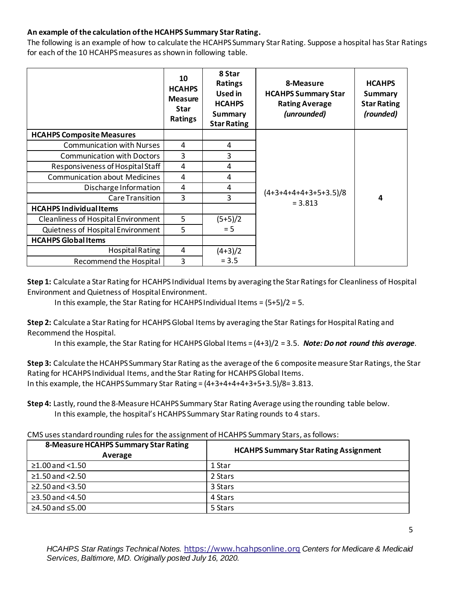# **An example of the calculation of the HCAHPS Summary Star Rating.**

The following is an example of how to calculate the HCAHPS Summary Star Rating. Suppose a hospital has Star Ratings for each of the 10 HCAHPS measures as shown in following table.

|                                      | 10<br><b>HCAHPS</b><br><b>Measure</b><br><b>Star</b><br><b>Ratings</b> | 8 Star<br><b>Ratings</b><br>Used in<br><b>HCAHPS</b><br><b>Summary</b><br><b>Star Rating</b> | 8-Measure<br><b>HCAHPS Summary Star</b><br><b>Rating Average</b><br>(unrounded) | <b>HCAHPS</b><br><b>Summary</b><br><b>Star Rating</b><br>(rounded) |
|--------------------------------------|------------------------------------------------------------------------|----------------------------------------------------------------------------------------------|---------------------------------------------------------------------------------|--------------------------------------------------------------------|
| <b>HCAHPS Composite Measures</b>     |                                                                        |                                                                                              |                                                                                 |                                                                    |
| <b>Communication with Nurses</b>     | 4                                                                      | 4                                                                                            |                                                                                 |                                                                    |
| <b>Communication with Doctors</b>    | 3                                                                      | 3                                                                                            |                                                                                 |                                                                    |
| Responsiveness of Hospital Staff     | 4                                                                      | 4                                                                                            |                                                                                 | 4                                                                  |
| <b>Communication about Medicines</b> | 4                                                                      | 4                                                                                            |                                                                                 |                                                                    |
| Discharge Information                | 4                                                                      | 4                                                                                            |                                                                                 |                                                                    |
| Care Transition                      | 3                                                                      | 3                                                                                            | $(4+3+4+4+4+3+5+3.5)/8$<br>$= 3.813$                                            |                                                                    |
| <b>HCAHPS Individual Items</b>       |                                                                        |                                                                                              |                                                                                 |                                                                    |
| Cleanliness of Hospital Environment  | 5                                                                      | $(5+5)/2$                                                                                    |                                                                                 |                                                                    |
| Quietness of Hospital Environment    | 5                                                                      | $= 5$                                                                                        |                                                                                 |                                                                    |
| <b>HCAHPS Global Items</b>           |                                                                        |                                                                                              |                                                                                 |                                                                    |
| Hospital Rating                      | 4                                                                      | $(4+3)/2$                                                                                    |                                                                                 |                                                                    |
| Recommend the Hospital               | 3                                                                      | $= 3.5$                                                                                      |                                                                                 |                                                                    |

**Step 1:** Calculate a Star Rating for HCAHPS Individual Items by averaging the Star Ratings for Cleanliness of Hospital Environment and Quietness of Hospital Environment.

In this example, the Star Rating for HCAHPS Individual Items = (5+5)/2 = 5.

**Step 2:** Calculate a Star Rating for HCAHPS Global Items by averaging the Star Ratings for Hospital Rating and Recommend the Hospital.

In this example, the Star Rating for HCAHPS Global Items = (4+3)/2 = 3.5. *Note: Do not round this average.*

**Step 3:** Calculate the HCAHPS Summary Star Rating as the average of the 6 composite measure Star Ratings, the Star Rating for HCAHPS Individual Items, and the Star Rating for HCAHPS Global Items. In this example, the HCAHPS Summary Star Rating =  $(4+3+4+4+3+5+3.5)/8=3.813$ .

**Step 4:** Lastly, round the 8-Measure HCAHPS Summary Star Rating Average using the rounding table below. In this example, the hospital's HCAHPS Summary Star Rating rounds to 4 stars.

CMS uses standard rounding rules for the assignment of HCAHPS Summary Stars, as follows:

| 8-Measure HCAHPS Summary Star Rating<br>Average | <b>HCAHPS Summary Star Rating Assignment</b> |
|-------------------------------------------------|----------------------------------------------|
| $≥1.00$ and $<1.50$                             | 1 Star                                       |
| $\geq$ 1.50 and <2.50                           | 2 Stars                                      |
| $\geq$ 2.50 and <3.50                           | 3 Stars                                      |
| $\geq$ 3.50 and <4.50                           | 4 Stars                                      |
| ≥4.50 and $≤5.00$                               | 5 Stars                                      |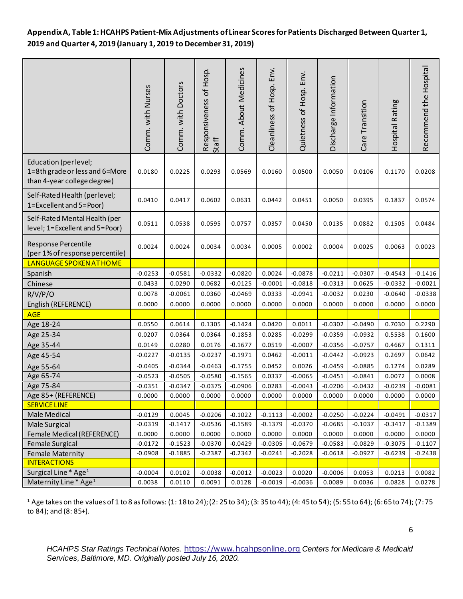# **Appendix A, Table 1: HCAHPS Patient-Mix Adjustments of Linear Scores for Patients Discharged Between Quarter 1, 2019 and Quarter 4, 2019 (January 1, 2019 to December 31, 2019)**

|                                                                                        | Comm. with Nurses   | Comm. with Doctors | Responsiveness of Hosp.<br>Staff | Comm. About Medicines | Env.<br>Cleanliness of Hosp. | Quietness of Hosp. Env. | Discharge Information | Care Transition | Hospital Rating  | Recommend the Hospital |
|----------------------------------------------------------------------------------------|---------------------|--------------------|----------------------------------|-----------------------|------------------------------|-------------------------|-----------------------|-----------------|------------------|------------------------|
| Education (per level;<br>1=8th grade or less and 6=More<br>than 4-year college degree) | 0.0180              | 0.0225             | 0.0293                           | 0.0569                | 0.0160                       | 0.0500                  | 0.0050                | 0.0106          | 0.1170           | 0.0208                 |
| Self-Rated Health (per level;<br>1=Excellent and 5=Poor)                               | 0.0410              | 0.0417             | 0.0602                           | 0.0631                | 0.0442                       | 0.0451                  | 0.0050                | 0.0395          | 0.1837           | 0.0574                 |
| Self-Rated Mental Health (per<br>level; 1=Excellent and 5=Poor)                        | 0.0511              | 0.0538             | 0.0595                           | 0.0757                | 0.0357                       | 0.0450                  | 0.0135                | 0.0882          | 0.1505           | 0.0484                 |
| Response Percentile<br>(per 1% of response percentile)                                 | 0.0024              | 0.0024             | 0.0034                           | 0.0034                | 0.0005                       | 0.0002                  | 0.0004                | 0.0025          | 0.0063           | 0.0023                 |
| LANGUAGE SPOKEN AT HOME                                                                |                     |                    |                                  |                       |                              |                         |                       |                 |                  |                        |
| Spanish                                                                                | $-0.0253$           | $-0.0581$          | $-0.0332$                        | $-0.0820$             | 0.0024                       | $-0.0878$               | $-0.0211$             | $-0.0307$       | $-0.4543$        | $-0.1416$              |
| Chinese                                                                                | 0.0433              | 0.0290             | 0.0682                           | $-0.0125$             | $-0.0001$                    | $-0.0818$               | $-0.0313$             | 0.0625          | $-0.0332$        | $-0.0021$              |
| R/V/P/O                                                                                | 0.0078              | $-0.0061$          | 0.0360                           | $-0.0469$             | 0.0333                       | $-0.0941$               | $-0.0032$             | 0.0230          | $-0.0640$        | $-0.0338$              |
| English (REFERENCE)                                                                    | 0.0000              | 0.0000             | 0.0000                           | 0.0000                | 0.0000                       | 0.0000                  | 0.0000                | 0.0000          | 0.0000           | 0.0000                 |
| <b>AGE</b>                                                                             |                     |                    |                                  |                       |                              |                         |                       |                 |                  |                        |
| Age 18-24                                                                              | 0.0550              | 0.0614             | 0.1305                           | $-0.1424$             | 0.0420                       | 0.0011                  | $-0.0302$             | $-0.0490$       | 0.7030           | 0.2290                 |
| Age 25-34                                                                              | 0.0207              | 0.0364             | 0.0364                           | $-0.1853$             | 0.0285                       | $-0.0299$               | $-0.0359$             | $-0.0932$       | 0.5538           | 0.1600                 |
| Age 35-44                                                                              | 0.0149              | 0.0280             | 0.0176                           | $-0.1677$             | 0.0519                       | $-0.0007$               | $-0.0356$             | $-0.0757$       | 0.4667           | 0.1311                 |
| Age 45-54                                                                              | $-0.0227$           | $-0.0135$          | $-0.0237$                        | $-0.1971$             | 0.0462                       | $-0.0011$               | $-0.0442$             | $-0.0923$       | 0.2697           | 0.0642                 |
| Age 55-64                                                                              | $-0.0405$           | $-0.0344$          | $-0.0463$                        | $-0.1755$             | 0.0452                       | 0.0026                  | $-0.0459$             | $-0.0885$       | 0.1274           | 0.0289                 |
| Age 65-74                                                                              | $-0.0523$           | $-0.0505$          | $-0.0580$                        | $-0.1565$             | 0.0337                       | $-0.0065$               | $-0.0451$             | $-0.0841$       | 0.0072           | 0.0008                 |
| Age 75-84                                                                              | $-0.0351$           | $-0.0347$          | $-0.0375$                        | $-0.0906$             | 0.0283                       | $-0.0043$               | $-0.0206$             | $-0.0432$       | $-0.0239$        | $-0.0081$              |
| Age 85+ (REFERENCE)                                                                    | 0.0000              | 0.0000             | 0.0000                           | 0.0000                | 0.0000                       | 0.0000                  | 0.0000                | 0.0000          | 0.0000           | 0.0000                 |
| <b>SERVICE LINE</b>                                                                    |                     |                    |                                  |                       |                              |                         |                       |                 |                  |                        |
| Male Medical                                                                           | $-0.0129$           | 0.0045             | $-0.0206$                        | $-0.1022$             | $-0.1113$                    | $-0.0002$               | $-0.0250$             | $-0.0224$       | $-0.0491$        | $-0.0317$              |
| Male Surgical                                                                          | $-0.0319$           | $-0.1417$          | $-0.0536$                        | $-0.1589$             | $-0.1379$                    | $-0.0370$               | $-0.0685$             | $-0.1037$       | $-0.3417$        | $-0.1389$              |
| Female Medical (REFERENCE)                                                             | 0.0000              | 0.0000             | 0.0000                           | 0.0000                | 0.0000                       | 0.0000                  | 0.0000                | 0.0000          | 0.0000           | 0.0000                 |
| <b>Female Surgical</b>                                                                 | $-0.0172$           | $-0.1523$          | $-0.0370$                        | $-0.0429$             | $-0.0305$                    | $-0.0679$               | $-0.0583$             | $-0.0829$       | $-0.3075$        | $-0.1107$              |
| <b>Female Maternity</b>                                                                | $-0.0908$           | $-0.1885$          | $-0.2387$                        | $-0.2342$             | $-0.0241$                    | $-0.2028$               | $-0.0618$             | $-0.0927$       | $-0.6239$        | $-0.2438$              |
| <b>INTERACTIONS</b><br>Surgical Line* Age <sup>1</sup>                                 |                     | 0.0102             |                                  |                       |                              |                         |                       | 0.0053          |                  |                        |
| Maternity Line* Age <sup>1</sup>                                                       | $-0.0004$<br>0.0038 | 0.0110             | $-0.0038$<br>0.0091              | $-0.0012$<br>0.0128   | $-0.0023$<br>$-0.0019$       | 0.0020<br>$-0.0036$     | $-0.0006$<br>0.0089   | 0.0036          | 0.0213<br>0.0828 | 0.0082<br>0.0278       |
|                                                                                        |                     |                    |                                  |                       |                              |                         |                       |                 |                  |                        |

<sup>1</sup> Age takes on the values of 1 to 8 as follows: (1: 18 to 24); (2: 25 to 34); (3: 35 to 44); (4: 45 to 54); (5: 55 to 64); (6: 65 to 74); (7: 75 to 84); and (8: 85+).

*HCAHPS Star Ratings Technical Notes.* [https://www.hcahpsonline.org](https://www.hcahpsonline.org/) *Centers for Medicare & Medicaid Services, Baltimore, MD. Originally posted July 16, 2020.*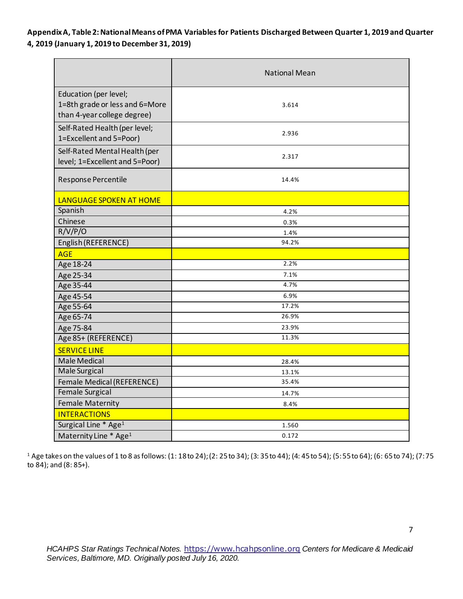**Appendix A, Table 2: National Means of PMA Variables for Patients Discharged Between Quarter 1, 2019 and Quarter 4, 2019 (January 1, 2019 to December 31, 2019)** 

|                                                                                        | <b>National Mean</b> |
|----------------------------------------------------------------------------------------|----------------------|
| Education (per level;<br>1=8th grade or less and 6=More<br>than 4-year college degree) | 3.614                |
| Self-Rated Health (per level;<br>1=Excellent and 5=Poor)                               | 2.936                |
| Self-Rated Mental Health (per<br>level; 1=Excellent and 5=Poor)                        | 2.317                |
| Response Percentile                                                                    | 14.4%                |
| LANGUAGE SPOKEN AT HOME                                                                |                      |
| Spanish                                                                                | 4.2%                 |
| Chinese                                                                                | 0.3%                 |
| R/V/P/O                                                                                | 1.4%                 |
| English (REFERENCE)                                                                    | 94.2%                |
| <b>AGE</b>                                                                             |                      |
| Age 18-24                                                                              | 2.2%                 |
| Age 25-34                                                                              | 7.1%                 |
| Age 35-44                                                                              | 4.7%                 |
| Age 45-54                                                                              | 6.9%                 |
| Age 55-64                                                                              | 17.2%                |
| Age 65-74                                                                              | 26.9%                |
| Age 75-84                                                                              | 23.9%                |
| Age 85+ (REFERENCE)                                                                    | 11.3%                |
| <b>SERVICE LINE</b>                                                                    |                      |
| <b>Male Medical</b>                                                                    | 28.4%                |
| Male Surgical                                                                          | 13.1%                |
| Female Medical (REFERENCE)                                                             | 35.4%                |
| Female Surgical                                                                        | 14.7%                |
| <b>Female Maternity</b>                                                                | 8.4%                 |
| <b>INTERACTIONS</b>                                                                    |                      |
| Surgical Line * Age <sup>1</sup>                                                       | 1.560                |
| Maternity Line * Age <sup>1</sup>                                                      | 0.172                |

<sup>1</sup> Age takes on the values of 1 to 8 as follows: (1: 18 to 24); (2: 25 to 34); (3: 35 to 44); (4: 45 to 54); (5: 55 to 64); (6: 65 to 74); (7: 75 to 84); and (8: 85+).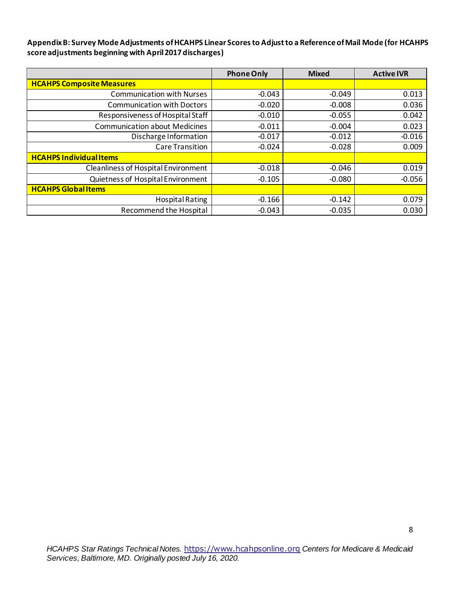**Appendix B: Survey Mode Adjustments of HCAHPS Linear Scores to Adjust to a Reference of Mail Mode (for HCAHPS score adjustments beginning with April 2017 discharges)**

|                                            | <b>Phone Only</b> | <b>Mixed</b> | <b>Active IVR</b> |
|--------------------------------------------|-------------------|--------------|-------------------|
| <b>HCAHPS Composite Measures</b>           |                   |              |                   |
| <b>Communication with Nurses</b>           | $-0.043$          | $-0.049$     | 0.013             |
| <b>Communication with Doctors</b>          | $-0.020$          | $-0.008$     | 0.036             |
| Responsiveness of Hospital Staff           | $-0.010$          | $-0.055$     | 0.042             |
| <b>Communication about Medicines</b>       | $-0.011$          | $-0.004$     | 0.023             |
| Discharge Information                      | $-0.017$          | $-0.012$     | $-0.016$          |
| <b>Care Transition</b>                     | $-0.024$          | $-0.028$     | 0.009             |
| <b>HCAHPS Individual Items</b>             |                   |              |                   |
| <b>Cleanliness of Hospital Environment</b> | $-0.018$          | $-0.046$     | 0.019             |
| Quietness of Hospital Environment          | $-0.105$          | $-0.080$     | $-0.056$          |
| <b>HCAHPS Global Items</b>                 |                   |              |                   |
| <b>Hospital Rating</b>                     | $-0.166$          | $-0.142$     | 0.079             |
| Recommend the Hospital                     | $-0.043$          | $-0.035$     | 0.030             |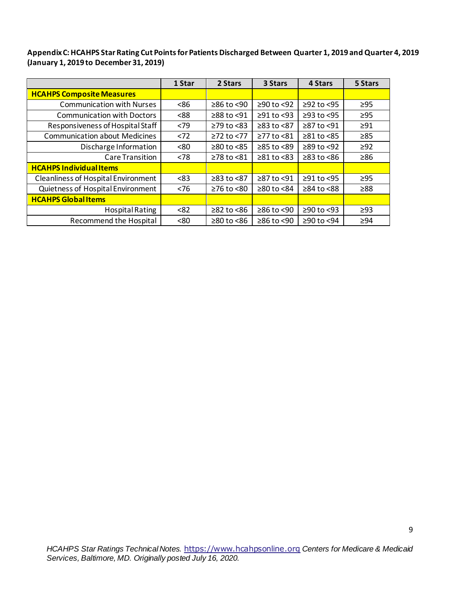**Appendix C: HCAHPS Star Rating Cut Points for Patients Discharged Between Quarter 1, 2019 and Quarter 4, 2019 (January 1, 2019 to December 31, 2019)** 

|                                            | 1 Star | 2 Stars          | 3 Stars          | 4 Stars                | 5 Stars   |
|--------------------------------------------|--------|------------------|------------------|------------------------|-----------|
| <b>HCAHPS Composite Measures</b>           |        |                  |                  |                        |           |
| <b>Communication with Nurses</b>           | <86    | $≥86$ to <90     | $≥90$ to <92     | $≥92$ to <95           | $\geq$ 95 |
| <b>Communication with Doctors</b>          | < 88   | ≥88 to <91       | $\geq$ 91 to <93 | $\geq$ 93 to <95       | $\geq$ 95 |
| Responsiveness of Hospital Staff           | <79    | $\geq$ 79 to <83 | $≥83$ to $< 87$  | ≥87 to <91             | $\geq$ 91 |
| <b>Communication about Medicines</b>       | < 72   | $\geq$ 72 to <77 | $\geq$ 77 to <81 | $\geq 81$ to $\leq 85$ | $\geq 85$ |
| Discharge Information                      | <80    | $\geq$ 80 to <85 | ≥85 to <89       | $≥89$ to <92           | $\geq$ 92 |
| Care Transition                            | < 78   | ≥78 to <81       | $\geq$ 81 to <83 | $\geq$ 83 to <86       | ≥86       |
| <b>HCAHPS Individual Items</b>             |        |                  |                  |                        |           |
| <b>Cleanliness of Hospital Environment</b> | < 83   | $≥83$ to $<87$   | ≥87 to <91       | ≥91 to <95             | $\geq$ 95 |
| Quietness of Hospital Environment          | < 76   | $\geq$ 76 to <80 | ≥80 to <84       | $\geq$ 84 to <88       | ≥88       |
| <b>HCAHPS Global Items</b>                 |        |                  |                  |                        |           |
| <b>Hospital Rating</b>                     | < 82   | $≥82$ to $<86$   | ≥86 to <90       | $≥90$ to <93           | $\geq$ 93 |
| Recommend the Hospital                     | < 80   | $≥80$ to $<86$   | $≥86$ to <90     | ≥90 to <94             | $\geq$ 94 |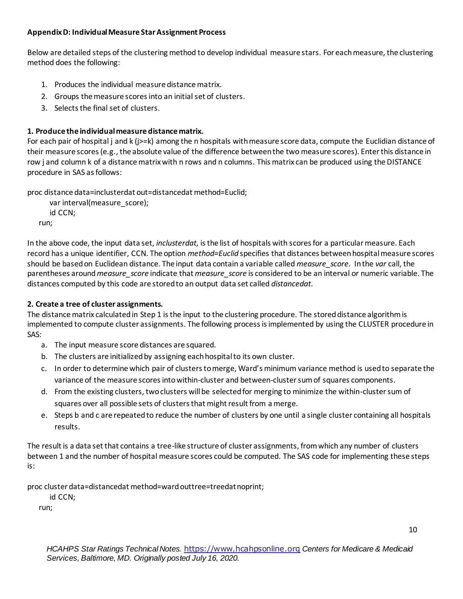# **Appendix D: Individual Measure Star Assignment Process**

Below are detailed steps of the clustering method to develop individual measure stars. For each measure, the clustering method does the following:

- 1. Produces the individual measure distance matrix.
- 2. Groups the measure scores into an initial set of clusters.
- 3. Selects the final set of clusters.

# **1. Produce the individual measure distance matrix.**

For each pair of hospital j and k (j>=k) among the n hospitals with measure score data, compute the Euclidian distance of their measure scores (e.g., the absolute value of the difference between the two measure scores). Enter this distance in row j and column k of a distance matrix with n rows and n columns. This matrix can be produced using the DISTANCE procedure in SAS as follows:

proc distance data=inclusterdat out=distancedat method=Euclid;

 var interval(measure\_score); id CCN; run;

In the above code, the input data set, *inclusterdat,* is the list of hospitals with scores for a particular measure. Each record has a unique identifier, CCN. The option *method=Euclid* specifies that distances between hospital measure scores should be based on Euclidean distance. The input data contain a variable called *measure\_score.* In the *var* call, the parentheses around*measure\_score* indicate that *measure\_score* is considered to be an interval or numeric variable. The distances computed by this code are stored to an output data set called *distancedat.*

# **2. Create a tree of cluster assignments.**

The distance matrix calculated in Step 1 is the input to the clustering procedure. The stored distance algorithm is implemented to compute cluster assignments. The following process is implemented by using the CLUSTER procedure in SAS:

- a. The input measure score distances are squared.
- b. The clusters are initialized by assigning each hospital to its own cluster.
- c. In order to determine which pair of clusters to merge, Ward's minimum variance method is used to separate the variance of the measure scores into within-cluster and between-cluster sum of squares components.
- d. From the existing clusters, two clusters will be selected for merging to minimize the within-cluster sum of squares over all possible sets of clusters that might result from a merge.
- e. Steps b and c are repeated to reduce the number of clusters by one until a single cluster containing all hospitals results.

The result is a data set that contains a tree-like structure of cluster assignments, from which any number of clusters between 1 and the number of hospital measure scores could be computed. The SAS code for implementing these steps is:

proc cluster data=distancedat method=ward outtree=treedat noprint;

id CCN;

run;